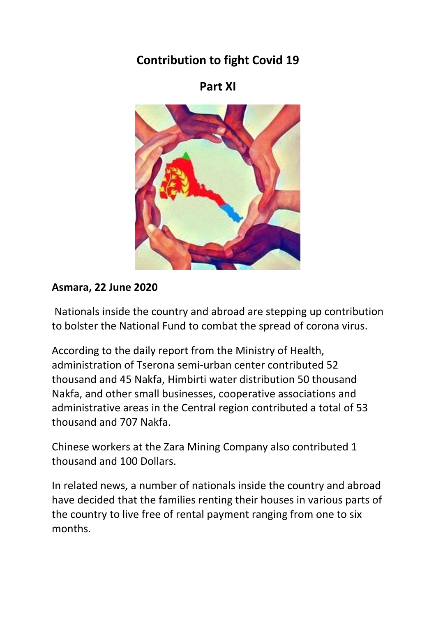# **Contribution to fight Covid 19**

## **Part XI**



## **Asmara, 22 June 2020**

Nationals inside the country and abroad are stepping up contribution to bolster the National Fund to combat the spread of corona virus.

According to the daily report from the Ministry of Health, administration of Tserona semi-urban center contributed 52 thousand and 45 Nakfa, Himbirti water distribution 50 thousand Nakfa, and other small businesses, cooperative associations and administrative areas in the Central region contributed a total of 53 thousand and 707 Nakfa.

Chinese workers at the Zara Mining Company also contributed 1 thousand and 100 Dollars.

In related news, a number of nationals inside the country and abroad have decided that the families renting their houses in various parts of the country to live free of rental payment ranging from one to six months.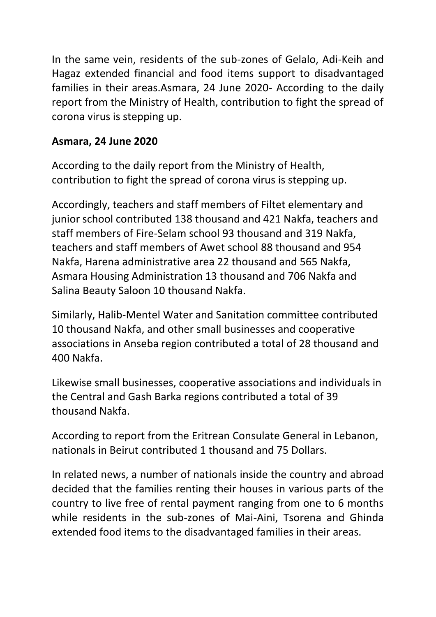In the same vein, residents of the sub-zones of Gelalo, Adi-Keih and Hagaz extended financial and food items support to disadvantaged families in their areas.Asmara, 24 June 2020- According to the daily report from the Ministry of Health, contribution to fight the spread of corona virus is stepping up.

## **Asmara, 24 June 2020**

According to the daily report from the Ministry of Health, contribution to fight the spread of corona virus is stepping up.

Accordingly, teachers and staff members of Filtet elementary and junior school contributed 138 thousand and 421 Nakfa, teachers and staff members of Fire-Selam school 93 thousand and 319 Nakfa, teachers and staff members of Awet school 88 thousand and 954 Nakfa, Harena administrative area 22 thousand and 565 Nakfa, Asmara Housing Administration 13 thousand and 706 Nakfa and Salina Beauty Saloon 10 thousand Nakfa.

Similarly, Halib-Mentel Water and Sanitation committee contributed 10 thousand Nakfa, and other small businesses and cooperative associations in Anseba region contributed a total of 28 thousand and 400 Nakfa.

Likewise small businesses, cooperative associations and individuals in the Central and Gash Barka regions contributed a total of 39 thousand Nakfa.

According to report from the Eritrean Consulate General in Lebanon, nationals in Beirut contributed 1 thousand and 75 Dollars.

In related news, a number of nationals inside the country and abroad decided that the families renting their houses in various parts of the country to live free of rental payment ranging from one to 6 months while residents in the sub-zones of Mai-Aini, Tsorena and Ghinda extended food items to the disadvantaged families in their areas.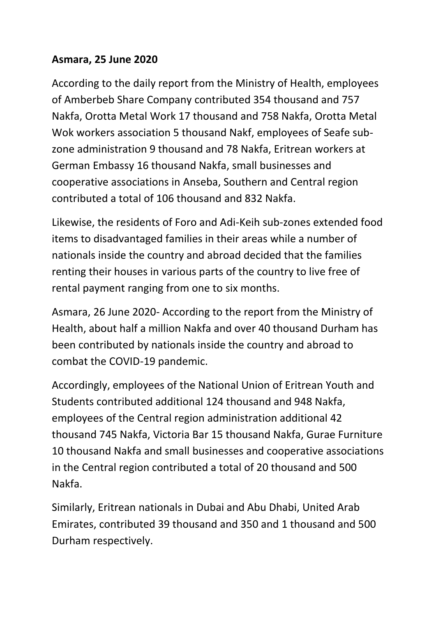### **Asmara, 25 June 2020**

According to the daily report from the Ministry of Health, employees of Amberbeb Share Company contributed 354 thousand and 757 Nakfa, Orotta Metal Work 17 thousand and 758 Nakfa, Orotta Metal Wok workers association 5 thousand Nakf, employees of Seafe subzone administration 9 thousand and 78 Nakfa, Eritrean workers at German Embassy 16 thousand Nakfa, small businesses and cooperative associations in Anseba, Southern and Central region contributed a total of 106 thousand and 832 Nakfa.

Likewise, the residents of Foro and Adi-Keih sub-zones extended food items to disadvantaged families in their areas while a number of nationals inside the country and abroad decided that the families renting their houses in various parts of the country to live free of rental payment ranging from one to six months.

Asmara, 26 June 2020- According to the report from the Ministry of Health, about half a million Nakfa and over 40 thousand Durham has been contributed by nationals inside the country and abroad to combat the COVID-19 pandemic.

Accordingly, employees of the National Union of Eritrean Youth and Students contributed additional 124 thousand and 948 Nakfa, employees of the Central region administration additional 42 thousand 745 Nakfa, Victoria Bar 15 thousand Nakfa, Gurae Furniture 10 thousand Nakfa and small businesses and cooperative associations in the Central region contributed a total of 20 thousand and 500 Nakfa.

Similarly, Eritrean nationals in Dubai and Abu Dhabi, United Arab Emirates, contributed 39 thousand and 350 and 1 thousand and 500 Durham respectively.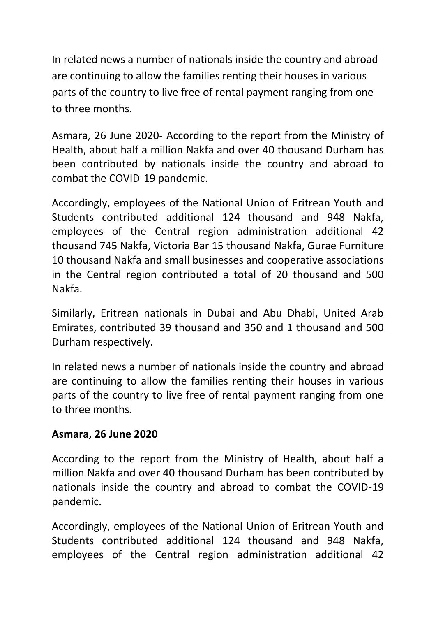In related news a number of nationals inside the country and abroad are continuing to allow the families renting their houses in various parts of the country to live free of rental payment ranging from one to three months.

Asmara, 26 June 2020- According to the report from the Ministry of Health, about half a million Nakfa and over 40 thousand Durham has been contributed by nationals inside the country and abroad to combat the COVID-19 pandemic.

Accordingly, employees of the National Union of Eritrean Youth and Students contributed additional 124 thousand and 948 Nakfa, employees of the Central region administration additional 42 thousand 745 Nakfa, Victoria Bar 15 thousand Nakfa, Gurae Furniture 10 thousand Nakfa and small businesses and cooperative associations in the Central region contributed a total of 20 thousand and 500 Nakfa.

Similarly, Eritrean nationals in Dubai and Abu Dhabi, United Arab Emirates, contributed 39 thousand and 350 and 1 thousand and 500 Durham respectively.

In related news a number of nationals inside the country and abroad are continuing to allow the families renting their houses in various parts of the country to live free of rental payment ranging from one to three months.

### **Asmara, 26 June 2020**

According to the report from the Ministry of Health, about half a million Nakfa and over 40 thousand Durham has been contributed by nationals inside the country and abroad to combat the COVID-19 pandemic.

Accordingly, employees of the National Union of Eritrean Youth and Students contributed additional 124 thousand and 948 Nakfa, employees of the Central region administration additional 42